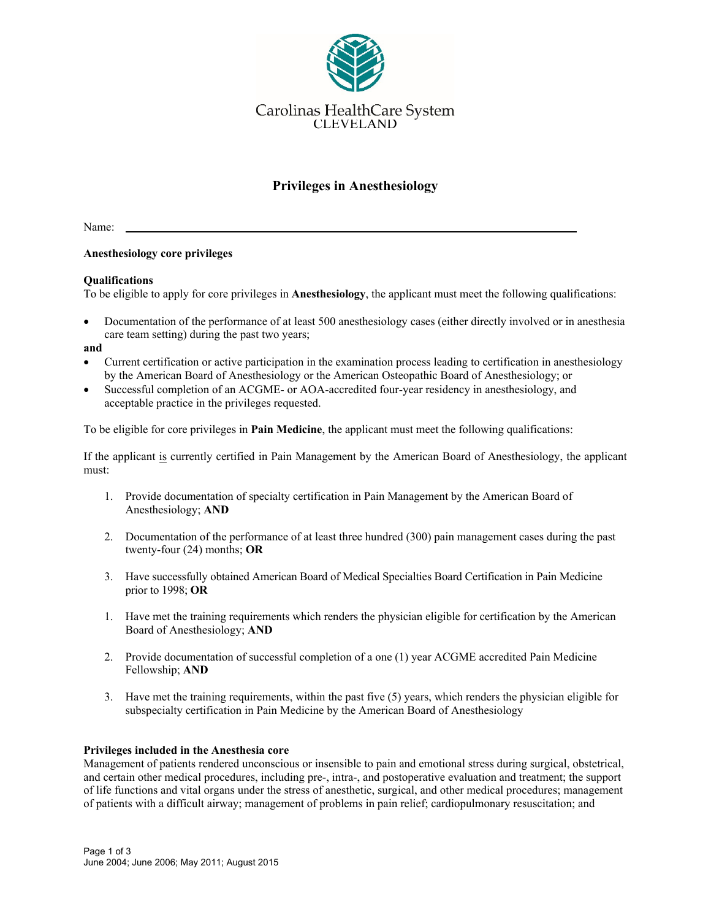

# **Privileges in Anesthesiology**

Name:

### **Anesthesiology core privileges**

### **Qualifications**

To be eligible to apply for core privileges in **Anesthesiology**, the applicant must meet the following qualifications:

 Documentation of the performance of at least 500 anesthesiology cases (either directly involved or in anesthesia care team setting) during the past two years;

#### **and**

- Current certification or active participation in the examination process leading to certification in anesthesiology by the American Board of Anesthesiology or the American Osteopathic Board of Anesthesiology; or
- Successful completion of an ACGME- or AOA-accredited four-year residency in anesthesiology, and acceptable practice in the privileges requested.

To be eligible for core privileges in **Pain Medicine**, the applicant must meet the following qualifications:

If the applicant is currently certified in Pain Management by the American Board of Anesthesiology, the applicant must:

- 1. Provide documentation of specialty certification in Pain Management by the American Board of Anesthesiology; **AND**
- 2. Documentation of the performance of at least three hundred (300) pain management cases during the past twenty-four (24) months; **OR**
- 3. Have successfully obtained American Board of Medical Specialties Board Certification in Pain Medicine prior to 1998; **OR**
- 1. Have met the training requirements which renders the physician eligible for certification by the American Board of Anesthesiology; **AND**
- 2. Provide documentation of successful completion of a one (1) year ACGME accredited Pain Medicine Fellowship; **AND**
- 3. Have met the training requirements, within the past five (5) years, which renders the physician eligible for subspecialty certification in Pain Medicine by the American Board of Anesthesiology

#### **Privileges included in the Anesthesia core**

Management of patients rendered unconscious or insensible to pain and emotional stress during surgical, obstetrical, and certain other medical procedures, including pre-, intra-, and postoperative evaluation and treatment; the support of life functions and vital organs under the stress of anesthetic, surgical, and other medical procedures; management of patients with a difficult airway; management of problems in pain relief; cardiopulmonary resuscitation; and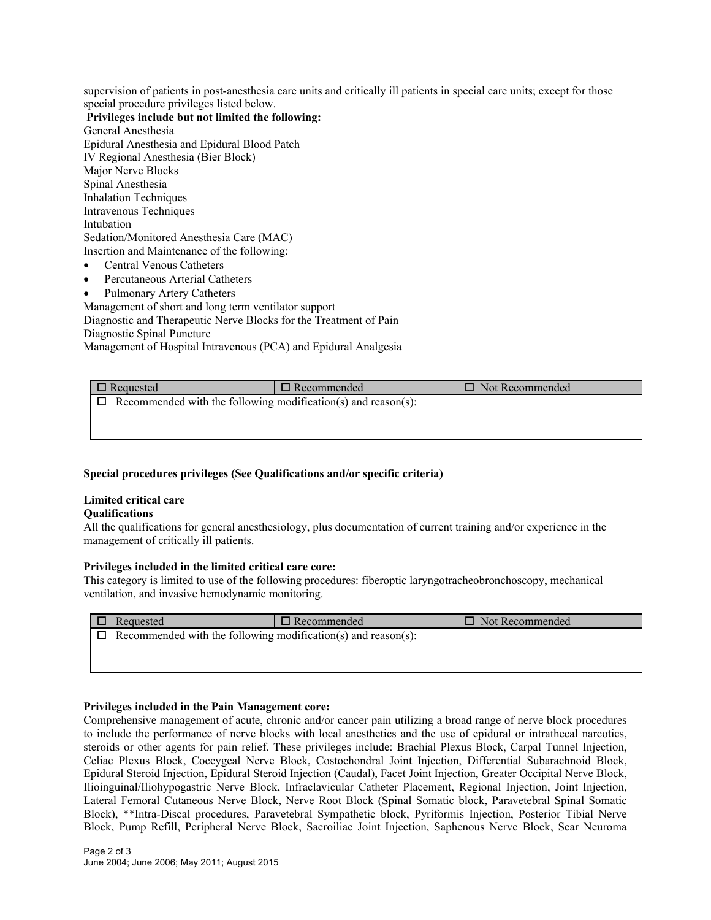supervision of patients in post-anesthesia care units and critically ill patients in special care units; except for those special procedure privileges listed below.

**Privileges include but not limited the following:** 

- General Anesthesia Epidural Anesthesia and Epidural Blood Patch IV Regional Anesthesia (Bier Block) Major Nerve Blocks Spinal Anesthesia Inhalation Techniques Intravenous Techniques Intubation Sedation/Monitored Anesthesia Care (MAC) Insertion and Maintenance of the following:
- Central Venous Catheters
- Percutaneous Arterial Catheters
- Pulmonary Artery Catheters

Management of short and long term ventilator support Diagnostic and Therapeutic Nerve Blocks for the Treatment of Pain Diagnostic Spinal Puncture

Management of Hospital Intravenous (PCA) and Epidural Analgesia

| $\Box$ Requested                                              | $\Box$ Recommended | $\Box$ Not Recommended |  |  |  |  |
|---------------------------------------------------------------|--------------------|------------------------|--|--|--|--|
| Recommended with the following modification(s) and reason(s): |                    |                        |  |  |  |  |
|                                                               |                    |                        |  |  |  |  |
|                                                               |                    |                        |  |  |  |  |

# **Special procedures privileges (See Qualifications and/or specific criteria)**

# **Limited critical care**

# **Qualifications**

All the qualifications for general anesthesiology, plus documentation of current training and/or experience in the management of critically ill patients.

# **Privileges included in the limited critical care core:**

This category is limited to use of the following procedures: fiberoptic laryngotracheobronchoscopy, mechanical ventilation, and invasive hemodynamic monitoring.

| Requested                                                            | $\Box$ Recommended | $\Box$ Not Recommended |  |  |  |
|----------------------------------------------------------------------|--------------------|------------------------|--|--|--|
| $\Box$ Recommended with the following modification(s) and reason(s): |                    |                        |  |  |  |
|                                                                      |                    |                        |  |  |  |

# **Privileges included in the Pain Management core:**

Comprehensive management of acute, chronic and/or cancer pain utilizing a broad range of nerve block procedures to include the performance of nerve blocks with local anesthetics and the use of epidural or intrathecal narcotics, steroids or other agents for pain relief. These privileges include: Brachial Plexus Block, Carpal Tunnel Injection, Celiac Plexus Block, Coccygeal Nerve Block, Costochondral Joint Injection, Differential Subarachnoid Block, Epidural Steroid Injection, Epidural Steroid Injection (Caudal), Facet Joint Injection, Greater Occipital Nerve Block, Ilioinguinal/Iliohypogastric Nerve Block, Infraclavicular Catheter Placement, Regional Injection, Joint Injection, Lateral Femoral Cutaneous Nerve Block, Nerve Root Block (Spinal Somatic block, Paravetebral Spinal Somatic Block), \*\*Intra-Discal procedures, Paravetebral Sympathetic block, Pyriformis Injection, Posterior Tibial Nerve Block, Pump Refill, Peripheral Nerve Block, Sacroiliac Joint Injection, Saphenous Nerve Block, Scar Neuroma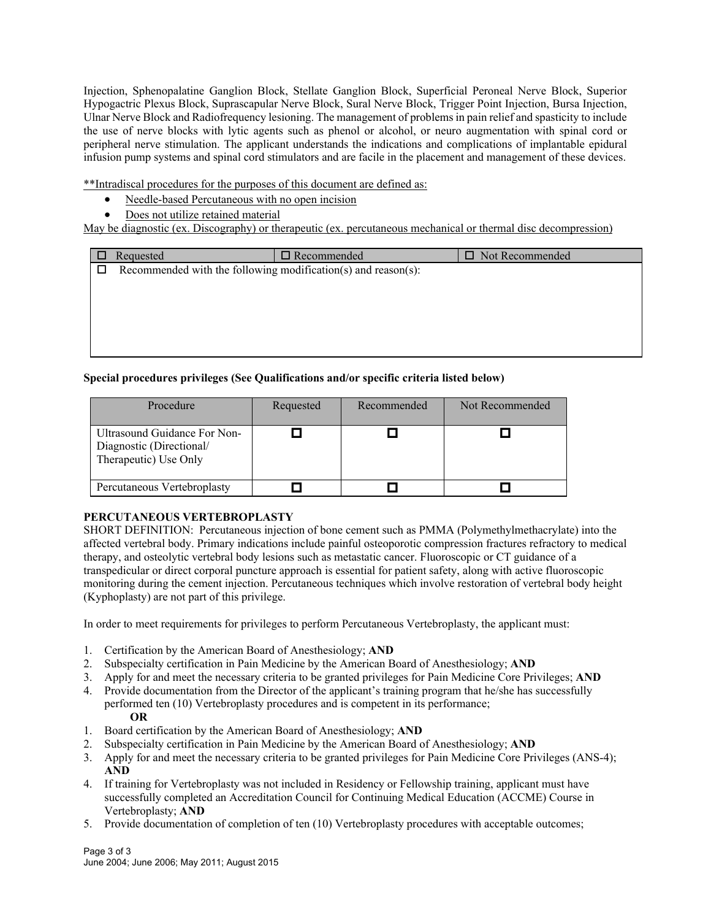Injection, Sphenopalatine Ganglion Block, Stellate Ganglion Block, Superficial Peroneal Nerve Block, Superior Hypogactric Plexus Block, Suprascapular Nerve Block, Sural Nerve Block, Trigger Point Injection, Bursa Injection, Ulnar Nerve Block and Radiofrequency lesioning. The management of problems in pain relief and spasticity to include the use of nerve blocks with lytic agents such as phenol or alcohol, or neuro augmentation with spinal cord or peripheral nerve stimulation. The applicant understands the indications and complications of implantable epidural infusion pump systems and spinal cord stimulators and are facile in the placement and management of these devices.

\*\*Intradiscal procedures for the purposes of this document are defined as:

- Needle-based Percutaneous with no open incision
- Does not utilize retained material

May be diagnostic (ex. Discography) or therapeutic (ex. percutaneous mechanical or thermal disc decompression)

|   | Requested                                                     | $\Box$ Recommended | □ Not Recommended |  |  |  |  |
|---|---------------------------------------------------------------|--------------------|-------------------|--|--|--|--|
| □ | Recommended with the following modification(s) and reason(s): |                    |                   |  |  |  |  |
|   |                                                               |                    |                   |  |  |  |  |
|   |                                                               |                    |                   |  |  |  |  |
|   |                                                               |                    |                   |  |  |  |  |
|   |                                                               |                    |                   |  |  |  |  |
|   |                                                               |                    |                   |  |  |  |  |

# **Special procedures privileges (See Qualifications and/or specific criteria listed below)**

| Procedure                                                                         | Requested | Recommended | Not Recommended |
|-----------------------------------------------------------------------------------|-----------|-------------|-----------------|
| Ultrasound Guidance For Non-<br>Diagnostic (Directional/<br>Therapeutic) Use Only |           |             |                 |
| Percutaneous Vertebroplasty                                                       |           |             |                 |

# **PERCUTANEOUS VERTEBROPLASTY**

SHORT DEFINITION: Percutaneous injection of bone cement such as PMMA (Polymethylmethacrylate) into the affected vertebral body. Primary indications include painful osteoporotic compression fractures refractory to medical therapy, and osteolytic vertebral body lesions such as metastatic cancer. Fluoroscopic or CT guidance of a transpedicular or direct corporal puncture approach is essential for patient safety, along with active fluoroscopic monitoring during the cement injection. Percutaneous techniques which involve restoration of vertebral body height (Kyphoplasty) are not part of this privilege.

In order to meet requirements for privileges to perform Percutaneous Vertebroplasty, the applicant must:

- 1. Certification by the American Board of Anesthesiology; **AND**
- 2. Subspecialty certification in Pain Medicine by the American Board of Anesthesiology; **AND**
- 3. Apply for and meet the necessary criteria to be granted privileges for Pain Medicine Core Privileges; **AND**
- 4. Provide documentation from the Director of the applicant's training program that he/she has successfully performed ten (10) Vertebroplasty procedures and is competent in its performance; **OR**
- 1. Board certification by the American Board of Anesthesiology; **AND**
- 2. Subspecialty certification in Pain Medicine by the American Board of Anesthesiology; **AND**
- 3. Apply for and meet the necessary criteria to be granted privileges for Pain Medicine Core Privileges (ANS-4); **AND**
- 4. If training for Vertebroplasty was not included in Residency or Fellowship training, applicant must have successfully completed an Accreditation Council for Continuing Medical Education (ACCME) Course in Vertebroplasty; **AND**
- 5. Provide documentation of completion of ten (10) Vertebroplasty procedures with acceptable outcomes;

Page 3 of 3 June 2004; June 2006; May 2011; August 2015